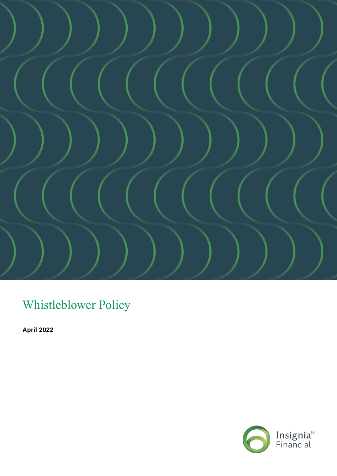

Whistleblower Policy

**April 2022**

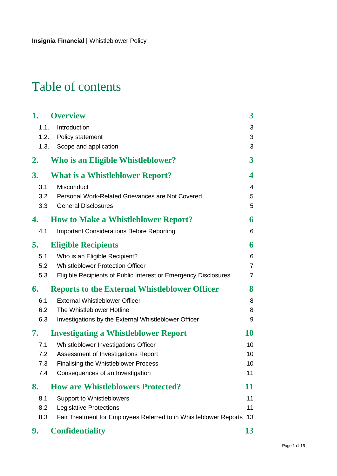# Table of contents

| 1.   | <b>Overview</b>                                                   | $\boldsymbol{3}$ |
|------|-------------------------------------------------------------------|------------------|
| 1.1. | Introduction                                                      | 3                |
|      | 1.2. Policy statement                                             | 3                |
| 1.3. | Scope and application                                             | 3                |
| 2.   | <b>Who is an Eligible Whistleblower?</b>                          | 3                |
| 3.   | <b>What is a Whistleblower Report?</b>                            | 4                |
| 3.1  | Misconduct                                                        | 4                |
| 3.2  | Personal Work-Related Grievances are Not Covered                  | 5                |
| 3.3  | <b>General Disclosures</b>                                        | 5                |
| 4.   | <b>How to Make a Whistleblower Report?</b>                        | 6                |
| 4.1  | <b>Important Considerations Before Reporting</b>                  | 6                |
| 5.   | <b>Eligible Recipients</b>                                        | 6                |
| 5.1  | Who is an Eligible Recipient?                                     | 6                |
| 5.2  | <b>Whistleblower Protection Officer</b>                           | 7                |
| 5.3  | Eligible Recipients of Public Interest or Emergency Disclosures   | 7                |
| 6.   | <b>Reports to the External Whistleblower Officer</b>              | 8                |
| 6.1  | <b>External Whistleblower Officer</b>                             | 8                |
| 6.2  | The Whistleblower Hotline                                         | 8                |
| 6.3  | Investigations by the External Whistleblower Officer              | 9                |
| 7.   | <b>Investigating a Whistleblower Report</b>                       | 10               |
| 7.1  | Whistleblower Investigations Officer                              | 10               |
| 7.2  | Assessment of Investigations Report                               | 10               |
| 7.3  | <b>Finalising the Whistleblower Process</b>                       | 10               |
| 7.4  | Consequences of an Investigation                                  | 11               |
| 8.   | <b>How are Whistleblowers Protected?</b>                          | 11               |
| 8.1  | <b>Support to Whistleblowers</b>                                  | 11               |
| 8.2  | <b>Legislative Protections</b>                                    | 11               |
| 8.3  | Fair Treatment for Employees Referred to in Whistleblower Reports | 13               |
| 9.   | <b>Confidentiality</b>                                            | 13               |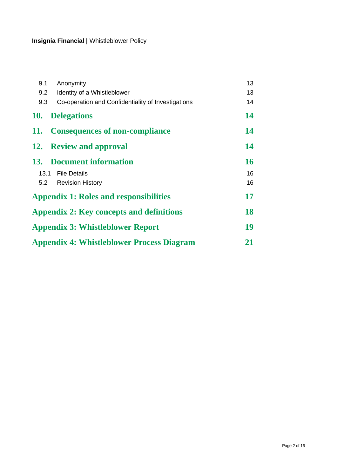| 9.1        | Anonymity                                          | 13 |
|------------|----------------------------------------------------|----|
| 9.2        | Identity of a Whistleblower                        | 13 |
| 9.3        | Co-operation and Confidentiality of Investigations | 14 |
| <b>10.</b> | <b>Delegations</b>                                 | 14 |
| 11.        | <b>Consequences of non-compliance</b>              | 14 |
|            | 12. Review and approval                            | 14 |
|            | 13. Document information                           | 16 |
|            | 13.1 File Details                                  | 16 |
|            | 5.2 Revision History                               | 16 |
|            | <b>Appendix 1: Roles and responsibilities</b>      | 17 |
|            | <b>Appendix 2: Key concepts and definitions</b>    | 18 |
|            | <b>Appendix 3: Whistleblower Report</b>            | 19 |
|            | <b>Appendix 4: Whistleblower Process Diagram</b>   | 21 |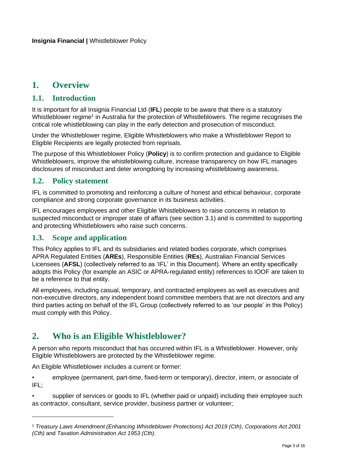# <span id="page-3-0"></span>**1. Overview**

#### <span id="page-3-1"></span>**1.1. Introduction**

It is important for all Insignia Financial Ltd (**IFL**) people to be aware that there is a statutory Whistleblower regime<sup>1</sup> in Australia for the protection of Whistleblowers. The regime recognises the critical role whistleblowing can play in the early detection and prosecution of misconduct.

Under the Whistleblower regime, Eligible Whistleblowers who make a Whistleblower Report to Eligible Recipients are legally protected from reprisals.

The purpose of this Whistleblower Policy (**Policy**) is to confirm protection and guidance to Eligible Whistleblowers, improve the whistleblowing culture, increase transparency on how IFL manages disclosures of misconduct and deter wrongdoing by increasing whistleblowing awareness.

#### <span id="page-3-2"></span>**1.2. Policy statement**

IFL is committed to promoting and reinforcing a culture of honest and ethical behaviour, corporate compliance and strong corporate governance in its business activities.

IFL encourages employees and other Eligible Whistleblowers to raise concerns in relation to suspected misconduct or improper state of affairs (see section 3.1) and is committed to supporting and protecting Whistleblowers who raise such concerns.

#### <span id="page-3-3"></span>**1.3. Scope and application**

This Policy applies to IFL and its subsidiaries and related bodies corporate, which comprises APRA Regulated Entities (**AREs**), Responsible Entities (**REs**), Australian Financial Services Licensees (**AFSL**) (collectively referred to as 'IFL' in this Document). Where an entity specifically adopts this Policy (for example an ASIC or APRA-regulated entity) references to IOOF are taken to be a reference to that entity.

All employees, including casual, temporary, and contracted employees as well as executives and non-executive directors, any independent board committee members that are not directors and any third parties acting on behalf of the IFL Group (collectively referred to as 'our people' in this Policy) must comply with this Policy.

### <span id="page-3-4"></span>**2. Who is an Eligible Whistleblower?**

A person who reports misconduct that has occurred within IFL is a Whistleblower. However, only Eligible Whistleblowers are protected by the Whistleblower regime.

An Eligible Whistleblower includes a current or former:

• employee (permanent, part-time, fixed-term or temporary), director, intern, or associate of IFL;

supplier of services or goods to IFL (whether paid or unpaid) including their emplovee such as contractor, consultant, service provider, business partner or volunteer;

<sup>1</sup> *Treasury Laws Amendment (Enhancing Whistleblower Protections) Act 2019 (Cth)*, *Corporations Act 2001 (Cth)* and *Taxation Administration Act 1953 (Cth).*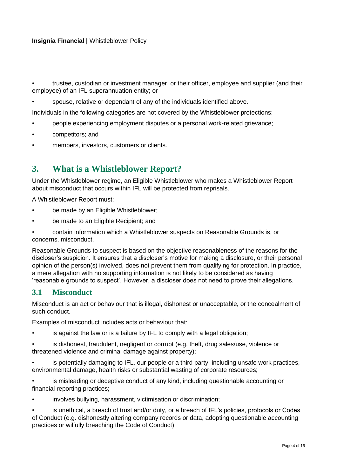• trustee, custodian or investment manager, or their officer, employee and supplier (and their employee) of an IFL superannuation entity; or

• spouse, relative or dependant of any of the individuals identified above.

Individuals in the following categories are not covered by the Whistleblower protections:

- people experiencing employment disputes or a personal work-related grievance;
- competitors; and
- members, investors, customers or clients.

### <span id="page-4-0"></span>**3. What is a Whistleblower Report?**

Under the Whistleblower regime, an Eligible Whistleblower who makes a Whistleblower Report about misconduct that occurs within IFL will be protected from reprisals.

A Whistleblower Report must:

- be made by an Eligible Whistleblower;
- be made to an Eligible Recipient; and

• contain information which a Whistleblower suspects on Reasonable Grounds is, or concerns, misconduct.

Reasonable Grounds to suspect is based on the objective reasonableness of the reasons for the discloser's suspicion. It ensures that a discloser's motive for making a disclosure, or their personal opinion of the person(s) involved, does not prevent them from qualifying for protection. In practice, a mere allegation with no supporting information is not likely to be considered as having 'reasonable grounds to suspect'. However, a discloser does not need to prove their allegations.

#### <span id="page-4-1"></span>**3.1 Misconduct**

Misconduct is an act or behaviour that is illegal, dishonest or unacceptable, or the concealment of such conduct.

Examples of misconduct includes acts or behaviour that:

- is against the law or is a failure by IFL to comply with a legal obligation:
- is dishonest, fraudulent, negligent or corrupt (e.g. theft, drug sales/use, violence or threatened violence and criminal damage against property);
- is potentially damaging to IFL, our people or a third party, including unsafe work practices, environmental damage, health risks or substantial wasting of corporate resources;
- is misleading or deceptive conduct of any kind, including questionable accounting or financial reporting practices;
- involves bullying, harassment, victimisation or discrimination;
- is unethical, a breach of trust and/or duty, or a breach of IFL's policies, protocols or Codes of Conduct (e.g. dishonestly altering company records or data, adopting questionable accounting practices or wilfully breaching the Code of Conduct);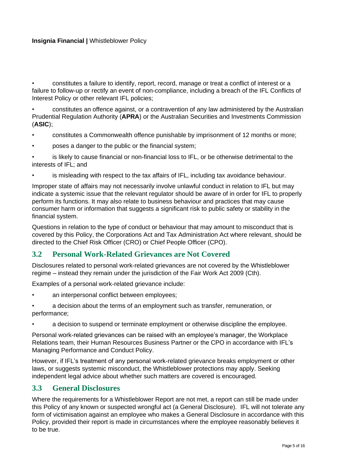• constitutes a failure to identify, report, record, manage or treat a conflict of interest or a failure to follow-up or rectify an event of non-compliance, including a breach of the IFL Conflicts of Interest Policy or other relevant IFL policies;

• constitutes an offence against, or a contravention of any law administered by the Australian Prudential Regulation Authority (**APRA**) or the Australian Securities and Investments Commission (**ASIC**);

- constitutes a Commonwealth offence punishable by imprisonment of 12 months or more;
- poses a danger to the public or the financial system;

• is likely to cause financial or non-financial loss to IFL, or be otherwise detrimental to the interests of IFL; and

• is misleading with respect to the tax affairs of IFL, including tax avoidance behaviour.

Improper state of affairs may not necessarily involve unlawful conduct in relation to IFL but may indicate a systemic issue that the relevant regulator should be aware of in order for IFL to properly perform its functions. It may also relate to business behaviour and practices that may cause consumer harm or information that suggests a significant risk to public safety or stability in the financial system.

Questions in relation to the type of conduct or behaviour that may amount to misconduct that is covered by this Policy, the Corporations Act and Tax Administration Act where relevant, should be directed to the Chief Risk Officer (CRO) or Chief People Officer (CPO).

#### <span id="page-5-0"></span>**3.2 Personal Work-Related Grievances are Not Covered**

Disclosures related to personal work-related grievances are not covered by the Whistleblower regime – instead they remain under the jurisdiction of the Fair Work Act 2009 (Cth).

Examples of a personal work-related grievance include:

- an interpersonal conflict between employees;
- a decision about the terms of an employment such as transfer, remuneration, or performance;
- a decision to suspend or terminate employment or otherwise discipline the employee.

Personal work-related grievances can be raised with an employee's manager, the Workplace Relations team, their Human Resources Business Partner or the CPO in accordance with IFL's Managing Performance and Conduct Policy.

However, if IFL's treatment of any personal work-related grievance breaks employment or other laws, or suggests systemic misconduct, the Whistleblower protections may apply. Seeking independent legal advice about whether such matters are covered is encouraged.

#### <span id="page-5-1"></span>**3.3 General Disclosures**

Where the requirements for a Whistleblower Report are not met, a report can still be made under this Policy of any known or suspected wrongful act (a General Disclosure). IFL will not tolerate any form of victimisation against an employee who makes a General Disclosure in accordance with this Policy, provided their report is made in circumstances where the employee reasonably believes it to be true.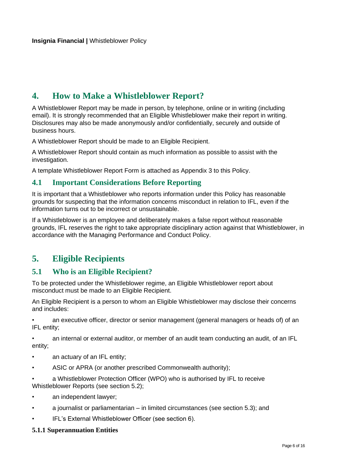# <span id="page-6-0"></span>**4. How to Make a Whistleblower Report?**

A Whistleblower Report may be made in person, by telephone, online or in writing (including email). It is strongly recommended that an Eligible Whistleblower make their report in writing. Disclosures may also be made anonymously and/or confidentially, securely and outside of business hours.

A Whistleblower Report should be made to an Eligible Recipient.

A Whistleblower Report should contain as much information as possible to assist with the investigation.

A template Whistleblower Report Form is attached as Appendix 3 to this Policy.

#### <span id="page-6-1"></span>**4.1 Important Considerations Before Reporting**

It is important that a Whistleblower who reports information under this Policy has reasonable grounds for suspecting that the information concerns misconduct in relation to IFL, even if the information turns out to be incorrect or unsustainable.

If a Whistleblower is an employee and deliberately makes a false report without reasonable grounds, IFL reserves the right to take appropriate disciplinary action against that Whistleblower, in accordance with the Managing Performance and Conduct Policy.

### <span id="page-6-2"></span>**5. Eligible Recipients**

#### <span id="page-6-3"></span>**5.1 Who is an Eligible Recipient?**

To be protected under the Whistleblower regime, an Eligible Whistleblower report about misconduct must be made to an Eligible Recipient.

An Eligible Recipient is a person to whom an Eligible Whistleblower may disclose their concerns and includes:

• an executive officer, director or senior management (general managers or heads of) of an IFL entity;

• an internal or external auditor, or member of an audit team conducting an audit, of an IFL entity;

- an actuary of an IFL entity;
- ASIC or APRA (or another prescribed Commonwealth authority);

a Whistleblower Protection Officer (WPO) who is authorised by IFL to receive Whistleblower Reports (see section 5.2);

- an independent lawyer;
- a journalist or parliamentarian in limited circumstances (see section 5.3); and
- IFL's External Whistleblower Officer (see section 6).

#### **5.1.1 Superannuation Entities**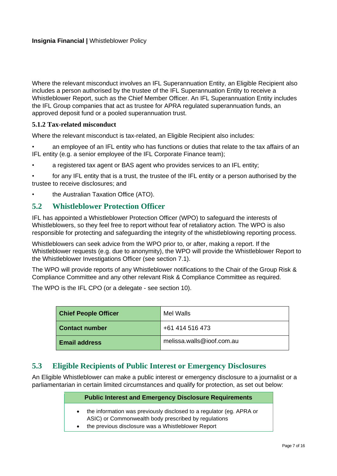Where the relevant misconduct involves an IFL Superannuation Entity, an Eligible Recipient also includes a person authorised by the trustee of the IFL Superannuation Entity to receive a Whistleblower Report, such as the Chief Member Officer. An IFL Superannuation Entity includes the IFL Group companies that act as trustee for APRA regulated superannuation funds, an approved deposit fund or a pooled superannuation trust.

#### **5.1.2 Tax-related misconduct**

Where the relevant misconduct is tax-related, an Eligible Recipient also includes:

• an employee of an IFL entity who has functions or duties that relate to the tax affairs of an IFL entity (e.g. a senior employee of the IFL Corporate Finance team);

- a registered tax agent or BAS agent who provides services to an IFL entity;
- for any IFL entity that is a trust, the trustee of the IFL entity or a person authorised by the trustee to receive disclosures; and
- the Australian Taxation Office (ATO).

#### <span id="page-7-0"></span>**5.2 Whistleblower Protection Officer**

IFL has appointed a Whistleblower Protection Officer (WPO) to safeguard the interests of Whistleblowers, so they feel free to report without fear of retaliatory action. The WPO is also responsible for protecting and safeguarding the integrity of the whistleblowing reporting process.

Whistleblowers can seek advice from the WPO prior to, or after, making a report. If the Whistleblower requests (e.g. due to anonymity), the WPO will provide the Whistleblower Report to the Whistleblower Investigations Officer (see section 7.1).

The WPO will provide reports of any Whistleblower notifications to the Chair of the Group Risk & Compliance Committee and any other relevant Risk & Compliance Committee as required.

The WPO is the IFL CPO (or a delegate - see section 10).

| <b>Chief People Officer</b> | Mel Walls                 |
|-----------------------------|---------------------------|
| <b>Contact number</b>       | +61 414 516 473           |
| <b>Email address</b>        | melissa.walls@ioof.com.au |

#### <span id="page-7-1"></span>**5.3 Eligible Recipients of Public Interest or Emergency Disclosures**

An Eligible Whistleblower can make a public interest or emergency disclosure to a journalist or a parliamentarian in certain limited circumstances and qualify for protection, as set out below:

#### **Public Interest and Emergency Disclosure Requirements**

- the information was previously disclosed to a regulator (eg. APRA or ASIC) or Commonwealth body prescribed by regulations
- the previous disclosure was a Whistleblower Report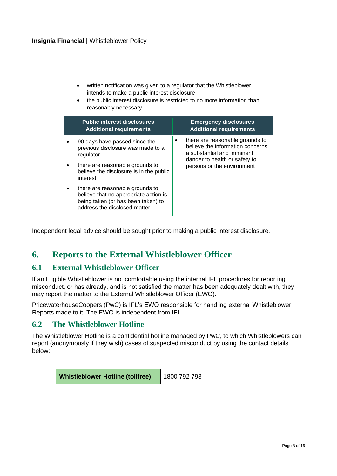| written notification was given to a regulator that the Whistleblower<br>intends to make a public interest disclosure<br>the public interest disclosure is restricted to no more information than<br>reasonably necessary |   |                                                                                                                                    |
|--------------------------------------------------------------------------------------------------------------------------------------------------------------------------------------------------------------------------|---|------------------------------------------------------------------------------------------------------------------------------------|
| <b>Public interest disclosures</b><br><b>Additional requirements</b>                                                                                                                                                     |   | <b>Emergency disclosures</b><br><b>Additional requirements</b>                                                                     |
| 90 days have passed since the<br>previous disclosure was made to a<br>regulator                                                                                                                                          | ٠ | there are reasonable grounds to<br>believe the information concerns<br>a substantial and imminent<br>danger to health or safety to |
| there are reasonable grounds to<br>believe the disclosure is in the public<br>interest                                                                                                                                   |   | persons or the environment                                                                                                         |
| there are reasonable grounds to<br>believe that no appropriate action is<br>being taken (or has been taken) to<br>address the disclosed matter                                                                           |   |                                                                                                                                    |

Independent legal advice should be sought prior to making a public interest disclosure.

### <span id="page-8-0"></span>**6. Reports to the External Whistleblower Officer**

#### <span id="page-8-1"></span>**6.1 External Whistleblower Officer**

If an Eligible Whistleblower is not comfortable using the internal IFL procedures for reporting misconduct, or has already, and is not satisfied the matter has been adequately dealt with, they may report the matter to the External Whistleblower Officer (EWO).

PricewaterhouseCoopers (PwC) is IFL's EWO responsible for handling external Whistleblower Reports made to it. The EWO is independent from IFL.

#### <span id="page-8-2"></span>**6.2 The Whistleblower Hotline**

The Whistleblower Hotline is a confidential hotline managed by PwC, to which Whistleblowers can report (anonymously if they wish) cases of suspected misconduct by using the contact details below:

| <b>Whistleblower Hotline (tollfree)</b> 1800 792 793 |  |
|------------------------------------------------------|--|
|                                                      |  |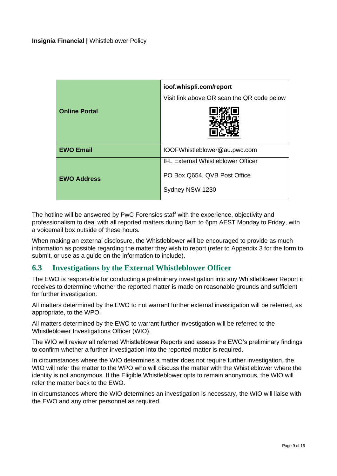| <b>Online Portal</b> | ioof.whispli.com/report<br>Visit link above OR scan the QR code below |
|----------------------|-----------------------------------------------------------------------|
| <b>EWO Email</b>     | IOOFWhistleblower@au.pwc.com                                          |
|                      | <b>IFL External Whistleblower Officer</b>                             |
| <b>EWO Address</b>   | PO Box Q654, QVB Post Office                                          |
|                      | Sydney NSW 1230                                                       |

The hotline will be answered by PwC Forensics staff with the experience, objectivity and professionalism to deal with all reported matters during 8am to 6pm AEST Monday to Friday, with a voicemail box outside of these hours.

When making an external disclosure, the Whistleblower will be encouraged to provide as much information as possible regarding the matter they wish to report (refer to Appendix 3 for the form to submit, or use as a guide on the information to include).

#### <span id="page-9-0"></span>**6.3 Investigations by the External Whistleblower Officer**

The EWO is responsible for conducting a preliminary investigation into any Whistleblower Report it receives to determine whether the reported matter is made on reasonable grounds and sufficient for further investigation.

All matters determined by the EWO to not warrant further external investigation will be referred, as appropriate, to the WPO.

All matters determined by the EWO to warrant further investigation will be referred to the Whistleblower Investigations Officer (WIO).

The WIO will review all referred Whistleblower Reports and assess the EWO's preliminary findings to confirm whether a further investigation into the reported matter is required.

In circumstances where the WIO determines a matter does not require further investigation, the WIO will refer the matter to the WPO who will discuss the matter with the Whistleblower where the identity is not anonymous. If the Eligible Whistleblower opts to remain anonymous, the WIO will refer the matter back to the EWO.

In circumstances where the WIO determines an investigation is necessary, the WIO will liaise with the EWO and any other personnel as required.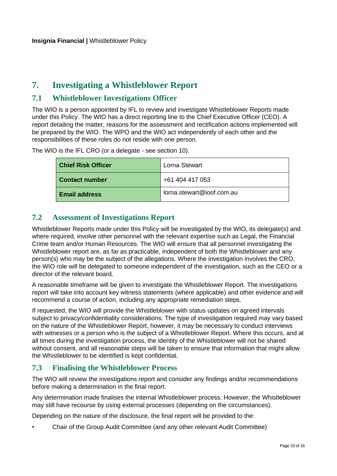# <span id="page-10-0"></span>**7. Investigating a Whistleblower Report**

#### <span id="page-10-1"></span>**7.1 Whistleblower Investigations Officer**

The WIO is a person appointed by IFL to review and investigate Whistleblower Reports made under this Policy. The WIO has a direct reporting line to the Chief Executive Officer (CEO). A report detailing the matter, reasons for the assessment and rectification actions implemented will be prepared by the WIO. The WPO and the WIO act independently of each other and the responsibilities of these roles do not reside with one person.

The WIO is the IFL CRO (or a delegate - see section 10).

| <b>Chief Risk Officer</b> | Lorna Stewart             |
|---------------------------|---------------------------|
| <b>Contact number</b>     | +61 404 417 053           |
| <b>Email address</b>      | lorna.stewart@ioof.com.au |

#### <span id="page-10-2"></span>**7.2 Assessment of Investigations Report**

Whistleblower Reports made under this Policy will be investigated by the WIO, its delegate(s) and where required, involve other personnel with the relevant expertise such as Legal, the Financial Crime team and/or Human Resources. The WIO will ensure that all personnel investigating the Whistleblower report are, as far as practicable, independent of both the Whistleblower and any person(s) who may be the subject of the allegations. Where the investigation involves the CRO, the WIO role will be delegated to someone independent of the investigation, such as the CEO or a director of the relevant board.

A reasonable timeframe will be given to investigate the Whistleblower Report. The investigations report will take into account key witness statements (where applicable) and other evidence and will recommend a course of action, including any appropriate remediation steps.

If requested, the WIO will provide the Whistleblower with status updates on agreed intervals subject to privacy/confidentiality considerations. The type of investigation required may vary based on the nature of the Whistleblower Report, however, it may be necessary to conduct interviews with witnesses or a person who is the subject of a Whistleblower Report. Where this occurs, and at all times during the investigation process, the identity of the Whistleblower will not be shared without consent, and all reasonable steps will be taken to ensure that information that might allow the Whistleblower to be identified is kept confidential.

#### <span id="page-10-3"></span>**7.3 Finalising the Whistleblower Process**

The WIO will review the investigations report and consider any findings and/or recommendations before making a determination in the final report.

Any determination made finalises the internal Whistleblower process. However, the Whistleblower may still have recourse by using external processes (depending on the circumstances).

Depending on the nature of the disclosure, the final report will be provided to the:

• Chair of the Group Audit Committee (and any other relevant Audit Committee)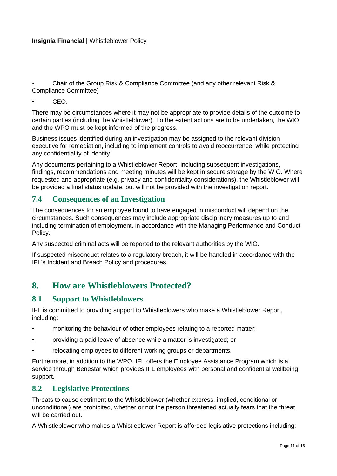• Chair of the Group Risk & Compliance Committee (and any other relevant Risk & Compliance Committee)

• CEO.

There may be circumstances where it may not be appropriate to provide details of the outcome to certain parties (including the Whistleblower). To the extent actions are to be undertaken, the WIO and the WPO must be kept informed of the progress.

Business issues identified during an investigation may be assigned to the relevant division executive for remediation, including to implement controls to avoid reoccurrence, while protecting any confidentiality of identity.

Any documents pertaining to a Whistleblower Report, including subsequent investigations, findings, recommendations and meeting minutes will be kept in secure storage by the WIO. Where requested and appropriate (e.g. privacy and confidentiality considerations), the Whistleblower will be provided a final status update, but will not be provided with the investigation report.

#### <span id="page-11-0"></span>**7.4 Consequences of an Investigation**

The consequences for an employee found to have engaged in misconduct will depend on the circumstances. Such consequences may include appropriate disciplinary measures up to and including termination of employment, in accordance with the Managing Performance and Conduct Policy.

Any suspected criminal acts will be reported to the relevant authorities by the WIO.

If suspected misconduct relates to a regulatory breach, it will be handled in accordance with the IFL's Incident and Breach Policy and procedures.

### <span id="page-11-1"></span>**8. How are Whistleblowers Protected?**

#### <span id="page-11-2"></span>**8.1 Support to Whistleblowers**

IFL is committed to providing support to Whistleblowers who make a Whistleblower Report, including:

- monitoring the behaviour of other employees relating to a reported matter;
- providing a paid leave of absence while a matter is investigated; or
- relocating employees to different working groups or departments.

Furthermore, in addition to the WPO, IFL offers the Employee Assistance Program which is a service through Benestar which provides IFL employees with personal and confidential wellbeing support.

#### <span id="page-11-3"></span>**8.2 Legislative Protections**

Threats to cause detriment to the Whistleblower (whether express, implied, conditional or unconditional) are prohibited, whether or not the person threatened actually fears that the threat will be carried out.

A Whistleblower who makes a Whistleblower Report is afforded legislative protections including: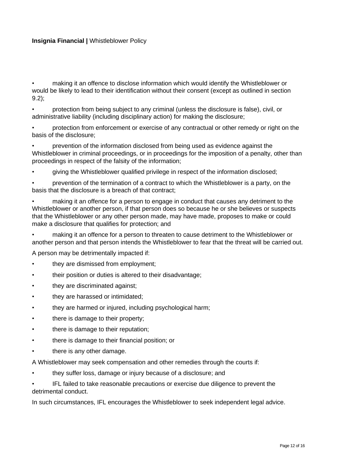• making it an offence to disclose information which would identify the Whistleblower or would be likely to lead to their identification without their consent (except as outlined in section 9.2);

• protection from being subject to any criminal (unless the disclosure is false), civil, or administrative liability (including disciplinary action) for making the disclosure;

• protection from enforcement or exercise of any contractual or other remedy or right on the basis of the disclosure;

• prevention of the information disclosed from being used as evidence against the Whistleblower in criminal proceedings, or in proceedings for the imposition of a penalty, other than proceedings in respect of the falsity of the information;

• giving the Whistleblower qualified privilege in respect of the information disclosed;

• prevention of the termination of a contract to which the Whistleblower is a party, on the basis that the disclosure is a breach of that contract;

• making it an offence for a person to engage in conduct that causes any detriment to the Whistleblower or another person, if that person does so because he or she believes or suspects that the Whistleblower or any other person made, may have made, proposes to make or could make a disclosure that qualifies for protection; and

• making it an offence for a person to threaten to cause detriment to the Whistleblower or another person and that person intends the Whistleblower to fear that the threat will be carried out.

A person may be detrimentally impacted if:

- they are dismissed from employment;
- their position or duties is altered to their disadvantage;
- they are discriminated against:
- they are harassed or intimidated;
- they are harmed or injured, including psychological harm;
- there is damage to their property;
- there is damage to their reputation;
- there is damage to their financial position; or
- there is any other damage.
- A Whistleblower may seek compensation and other remedies through the courts if:
- they suffer loss, damage or injury because of a disclosure; and
- IFL failed to take reasonable precautions or exercise due diligence to prevent the detrimental conduct.

In such circumstances, IFL encourages the Whistleblower to seek independent legal advice.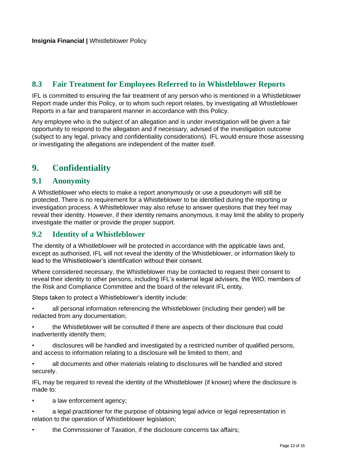#### <span id="page-13-0"></span>**8.3 Fair Treatment for Employees Referred to in Whistleblower Reports**

IFL is committed to ensuring the fair treatment of any person who is mentioned in a Whistleblower Report made under this Policy, or to whom such report relates, by investigating all Whistleblower Reports in a fair and transparent manner in accordance with this Policy.

Any employee who is the subject of an allegation and is under investigation will be given a fair opportunity to respond to the allegation and if necessary, advised of the investigation outcome (subject to any legal, privacy and confidentiality considerations). IFL would ensure those assessing or investigating the allegations are independent of the matter itself.

# <span id="page-13-1"></span>**9. Confidentiality**

#### <span id="page-13-2"></span>**9.1 Anonymity**

A Whistleblower who elects to make a report anonymously or use a pseudonym will still be protected. There is no requirement for a Whistleblower to be identified during the reporting or investigation process. A Whistleblower may also refuse to answer questions that they feel may reveal their identity. However, if their identity remains anonymous, it may limit the ability to properly investigate the matter or provide the proper support.

#### <span id="page-13-3"></span>**9.2 Identity of a Whistleblower**

The identity of a Whistleblower will be protected in accordance with the applicable laws and, except as authorised, IFL will not reveal the identity of the Whistleblower, or information likely to lead to the Whistleblower's identification without their consent.

Where considered necessary, the Whistleblower may be contacted to request their consent to reveal their identity to other persons, including IFL's external legal advisers, the WIO, members of the Risk and Compliance Committee and the board of the relevant IFL entity.

Steps taken to protect a Whistleblower's identity include:

• all personal information referencing the Whistleblower (including their gender) will be redacted from any documentation;

• the Whistleblower will be consulted if there are aspects of their disclosure that could inadvertently identify them;

• disclosures will be handled and investigated by a restricted number of qualified persons, and access to information relating to a disclosure will be limited to them; and

• all documents and other materials relating to disclosures will be handled and stored securely.

IFL may be required to reveal the identity of the Whistleblower (if known) where the disclosure is made to:

- a law enforcement agency;
- a legal practitioner for the purpose of obtaining legal advice or legal representation in relation to the operation of Whistleblower legislation;
- the Commissioner of Taxation, if the disclosure concerns tax affairs;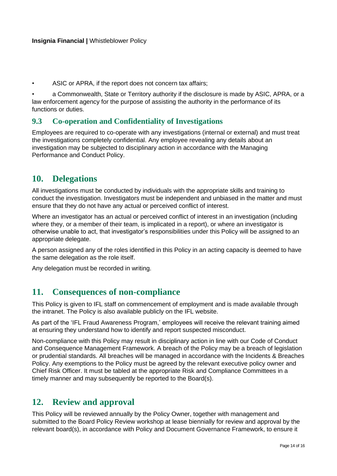ASIC or APRA, if the report does not concern tax affairs;

• a Commonwealth, State or Territory authority if the disclosure is made by ASIC, APRA, or a law enforcement agency for the purpose of assisting the authority in the performance of its functions or duties.

#### <span id="page-14-0"></span>**9.3 Co-operation and Confidentiality of Investigations**

Employees are required to co-operate with any investigations (internal or external) and must treat the investigations completely confidential. Any employee revealing any details about an investigation may be subjected to disciplinary action in accordance with the Managing Performance and Conduct Policy.

### <span id="page-14-1"></span>**10. Delegations**

All investigations must be conducted by individuals with the appropriate skills and training to conduct the investigation. Investigators must be independent and unbiased in the matter and must ensure that they do not have any actual or perceived conflict of interest.

Where an investigator has an actual or perceived conflict of interest in an investigation (including where they, or a member of their team, is implicated in a report), or where an investigator is otherwise unable to act, that investigator's responsibilities under this Policy will be assigned to an appropriate delegate.

A person assigned any of the roles identified in this Policy in an acting capacity is deemed to have the same delegation as the role itself.

Any delegation must be recorded in writing.

### <span id="page-14-2"></span>**11. Consequences of non-compliance**

This Policy is given to IFL staff on commencement of employment and is made available through the intranet. The Policy is also available publicly on the IFL website.

As part of the 'IFL Fraud Awareness Program,' employees will receive the relevant training aimed at ensuring they understand how to identify and report suspected misconduct.

Non-compliance with this Policy may result in disciplinary action in line with our Code of Conduct and Consequence Management Framework. A breach of the Policy may be a breach of legislation or prudential standards. All breaches will be managed in accordance with the Incidents & Breaches Policy. Any exemptions to the Policy must be agreed by the relevant executive policy owner and Chief Risk Officer. It must be tabled at the appropriate Risk and Compliance Committees in a timely manner and may subsequently be reported to the Board(s).

#### <span id="page-14-3"></span>**12. Review and approval**

This Policy will be reviewed annually by the Policy Owner, together with management and submitted to the Board Policy Review workshop at lease biennially for review and approval by the relevant board(s), in accordance with Policy and Document Governance Framework, to ensure it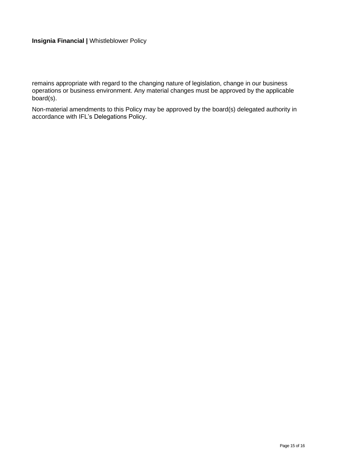remains appropriate with regard to the changing nature of legislation, change in our business operations or business environment. Any material changes must be approved by the applicable board(s).

Non-material amendments to this Policy may be approved by the board(s) delegated authority in accordance with IFL's Delegations Policy.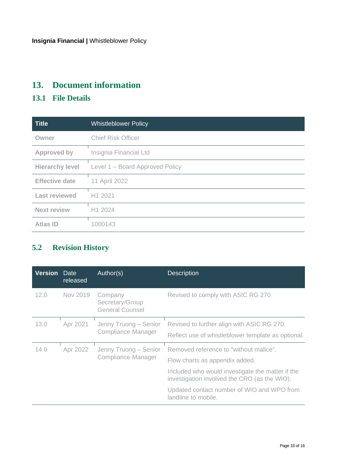# <span id="page-16-0"></span>**13. Document information**

# <span id="page-16-1"></span>**13.1 File Details**

| <b>Title</b>           | <b>Whistleblower Policy</b>     |
|------------------------|---------------------------------|
| Owner                  | <b>Chief Risk Officer</b>       |
| <b>Approved by</b>     | Insignia Financial Ltd          |
| <b>Hierarchy level</b> | Level 1 – Board Approved Policy |
| <b>Effective date</b>  | 11 April 2022                   |
| <b>Last reviewed</b>   | H1 2021                         |
| <b>Next review</b>     | H1 2024                         |
| <b>Atlas ID</b>        | 1000143                         |

# <span id="page-16-2"></span>**5.2 Revision History**

| <b>Version</b> | Date<br>released | Author(s)                                            | <b>Description</b>                                                                                                                                                                                                                                |
|----------------|------------------|------------------------------------------------------|---------------------------------------------------------------------------------------------------------------------------------------------------------------------------------------------------------------------------------------------------|
| 12.0           | Nov 2019         | Company<br>Secretary/Group<br><b>General Counsel</b> | Revised to comply with ASIC RG 270                                                                                                                                                                                                                |
| 13.0           | Apr 2021         | Jenny Truong - Senior<br><b>Compliance Manager</b>   | Revised to further align with ASIC RG 270.<br>Reflect use of whistleblower template as optional.                                                                                                                                                  |
| 14.0           | Apr 2022         | Jenny Truong - Senior<br><b>Compliance Manager</b>   | Removed reference to "without malice".<br>Flow charts as appendix added.<br>Included who would investigate the matter if the<br>investigation involved the CRO (as the WIO).<br>Updated contact number of WIO and WPO from<br>landline to mobile. |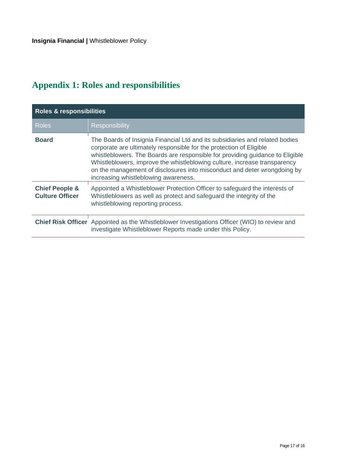# <span id="page-17-0"></span>**Appendix 1: Roles and responsibilities**

| <b>Roles &amp; responsibilities</b>                 |                                                                                                                                                                                                                                                                                                                                                                                                                                       |  |  |
|-----------------------------------------------------|---------------------------------------------------------------------------------------------------------------------------------------------------------------------------------------------------------------------------------------------------------------------------------------------------------------------------------------------------------------------------------------------------------------------------------------|--|--|
| <b>Roles</b>                                        | <b>Responsibility</b>                                                                                                                                                                                                                                                                                                                                                                                                                 |  |  |
| <b>Board</b>                                        | The Boards of Insignia Financial Ltd and its subsidiaries and related bodies<br>corporate are ultimately responsible for the protection of Eligible<br>whistleblowers. The Boards are responsible for providing guidance to Eligible<br>Whistleblowers, improve the whistleblowing culture, increase transparency<br>on the management of disclosures into misconduct and deter wrongdoing by<br>increasing whistleblowing awareness. |  |  |
| <b>Chief People &amp;</b><br><b>Culture Officer</b> | Appointed a Whistleblower Protection Officer to safeguard the interests of<br>Whistleblowers as well as protect and safeguard the integrity of the<br>whistleblowing reporting process.                                                                                                                                                                                                                                               |  |  |
|                                                     | <b>Chief Risk Officer</b> Appointed as the Whistleblower Investigations Officer (WIO) to review and<br>investigate Whistleblower Reports made under this Policy.                                                                                                                                                                                                                                                                      |  |  |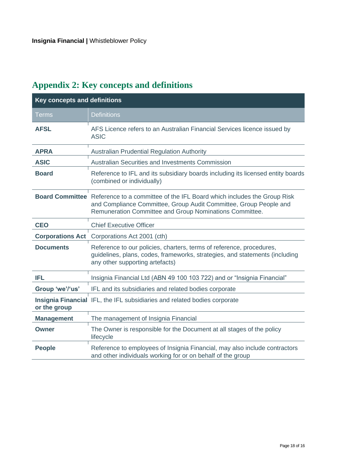# **Key concepts and definitions** Terms **Definitions AFSL** AFS Licence refers to an Australian Financial Services licence issued by ASIC **APRA** Australian Prudential Regulation Authority ASIC Australian Securities and Investments Commission **Board** Reference to IFL and its subsidiary boards including its licensed entity boards (combined or individually) **Board Committee** Reference to a committee of the IFL Board which includes the Group Risk and Compliance Committee, Group Audit Committee, Group People and Remuneration Committee and Group Nominations Committee. **CEO** Chief Executive Officer **Corporations Act** Corporations Act 2001 (cth) **Documents** Reference to our policies, charters, terms of reference, procedures, guidelines, plans, codes, frameworks, strategies, and statements (including any other supporting artefacts) **IFL** Insignia Financial Ltd (ABN 49 100 103 722) and or "Insignia Financial" **Group 'we'/'us'** IFL and its subsidiaries and related bodies corporate Insignia Financial IFL, the IFL subsidiaries and related bodies corporate **or the group Management** The management of Insignia Financial **Owner** The Owner is responsible for the Document at all stages of the policy lifecycle **People** Reference to employees of Insignia Financial, may also include contractors and other individuals working for or on behalf of the group

# <span id="page-18-0"></span>**Appendix 2: Key concepts and definitions**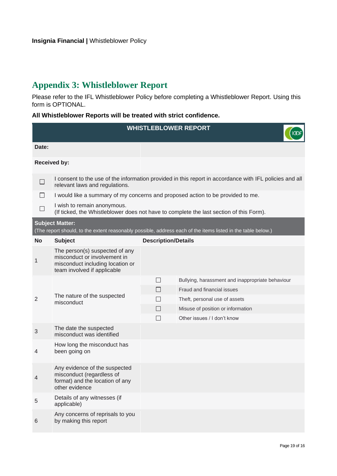# <span id="page-19-0"></span>**Appendix 3: Whistleblower Report**

Please refer to the IFL Whistleblower Policy before completing a Whistleblower Report. Using this form is OPTIONAL.

**All Whistleblower Reports will be treated with strict confidence.**

| <b>WHISTLEBLOWER REPORT</b> |                                                                                                                                   |                            |                                                                                                              |  |
|-----------------------------|-----------------------------------------------------------------------------------------------------------------------------------|----------------------------|--------------------------------------------------------------------------------------------------------------|--|
| Date:                       |                                                                                                                                   |                            |                                                                                                              |  |
| <b>Received by:</b>         |                                                                                                                                   |                            |                                                                                                              |  |
|                             | relevant laws and regulations.                                                                                                    |                            | I consent to the use of the information provided in this report in accordance with IFL policies and all      |  |
|                             | I would like a summary of my concerns and proposed action to be provided to me.                                                   |                            |                                                                                                              |  |
|                             | I wish to remain anonymous.                                                                                                       |                            | (If ticked, the Whistleblower does not have to complete the last section of this Form).                      |  |
|                             | <b>Subject Matter:</b>                                                                                                            |                            | (The report should, to the extent reasonably possible, address each of the items listed in the table below.) |  |
| <b>No</b>                   | <b>Subject</b>                                                                                                                    | <b>Description/Details</b> |                                                                                                              |  |
| 1                           | The person(s) suspected of any<br>misconduct or involvement in<br>misconduct including location or<br>team involved if applicable |                            |                                                                                                              |  |
|                             |                                                                                                                                   | $\Box$                     | Bullying, harassment and inappropriate behaviour                                                             |  |
|                             | The nature of the suspected<br>misconduct                                                                                         | $\mathsf{L}$               | Fraud and financial issues                                                                                   |  |
| $\overline{2}$              |                                                                                                                                   | $\Box$                     | Theft, personal use of assets                                                                                |  |
|                             |                                                                                                                                   | $\Box$<br>П                | Misuse of position or information<br>Other issues / I don't know                                             |  |
| 3                           | The date the suspected<br>misconduct was identified                                                                               |                            |                                                                                                              |  |
| 4                           | How long the misconduct has<br>been going on                                                                                      |                            |                                                                                                              |  |
| 4                           | Any evidence of the suspected<br>misconduct (regardless of<br>format) and the location of any<br>other evidence                   |                            |                                                                                                              |  |
| 5                           | Details of any witnesses (if<br>applicable)                                                                                       |                            |                                                                                                              |  |
| $6\phantom{1}6$             | Any concerns of reprisals to you<br>by making this report                                                                         |                            |                                                                                                              |  |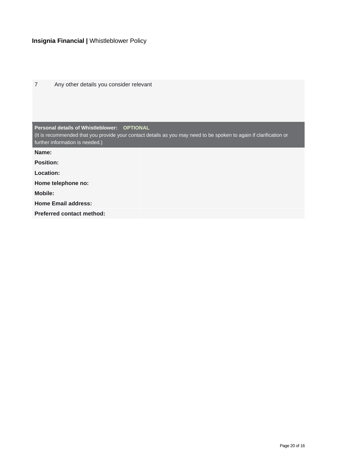| $\overline{7}$   | Any other details you consider relevant                                                                                                               |
|------------------|-------------------------------------------------------------------------------------------------------------------------------------------------------|
|                  |                                                                                                                                                       |
|                  |                                                                                                                                                       |
|                  |                                                                                                                                                       |
|                  | Personal details of Whistleblower: OPTIONAL                                                                                                           |
|                  | (It is recommended that you provide your contact details as you may need to be spoken to again if clarification or<br>further information is needed.) |
| Name:            |                                                                                                                                                       |
| <b>Position:</b> |                                                                                                                                                       |
| Location:        |                                                                                                                                                       |
|                  | Home telephone no:                                                                                                                                    |
| <b>Mobile:</b>   |                                                                                                                                                       |
|                  | <b>Home Email address:</b>                                                                                                                            |
|                  | <b>Preferred contact method:</b>                                                                                                                      |
|                  |                                                                                                                                                       |